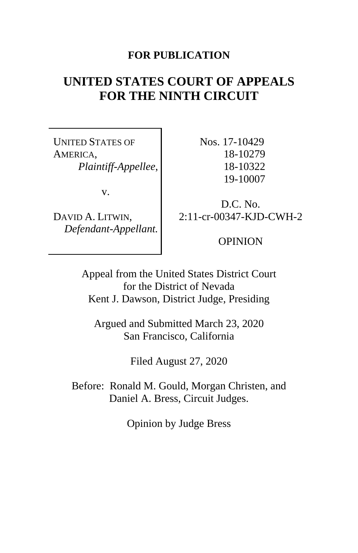## **FOR PUBLICATION**

# **UNITED STATES COURT OF APPEALS FOR THE NINTH CIRCUIT**

UNITED STATES OF AMERICA, *Plaintiff-Appellee*,

v.

DAVID A. LITWIN, *Defendant-Appellant.*  Nos. 17-10429 18-10279 18-10322 19-10007

D.C. No. 2:11-cr-00347-KJD-CWH-2

OPINION

Appeal from the United States District Court for the District of Nevada Kent J. Dawson, District Judge, Presiding

Argued and Submitted March 23, 2020 San Francisco, California

Filed August 27, 2020

Before: Ronald M. Gould, Morgan Christen, and Daniel A. Bress, Circuit Judges.

Opinion by Judge Bress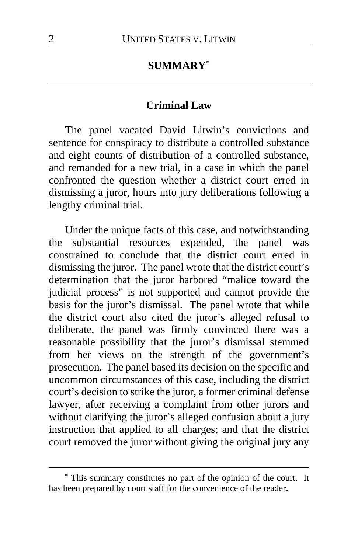### **SUMMARY[\\*](#page-1-0)**

### **Criminal Law**

The panel vacated David Litwin's convictions and sentence for conspiracy to distribute a controlled substance and eight counts of distribution of a controlled substance, and remanded for a new trial, in a case in which the panel confronted the question whether a district court erred in dismissing a juror, hours into jury deliberations following a lengthy criminal trial.

Under the unique facts of this case, and notwithstanding the substantial resources expended, the panel was constrained to conclude that the district court erred in dismissing the juror. The panel wrote that the district court's determination that the juror harbored "malice toward the judicial process" is not supported and cannot provide the basis for the juror's dismissal. The panel wrote that while the district court also cited the juror's alleged refusal to deliberate, the panel was firmly convinced there was a reasonable possibility that the juror's dismissal stemmed from her views on the strength of the government's prosecution. The panel based its decision on the specific and uncommon circumstances of this case, including the district court's decision to strike the juror, a former criminal defense lawyer, after receiving a complaint from other jurors and without clarifying the juror's alleged confusion about a jury instruction that applied to all charges; and that the district court removed the juror without giving the original jury any

<span id="page-1-0"></span>**<sup>\*</sup>** This summary constitutes no part of the opinion of the court. It has been prepared by court staff for the convenience of the reader.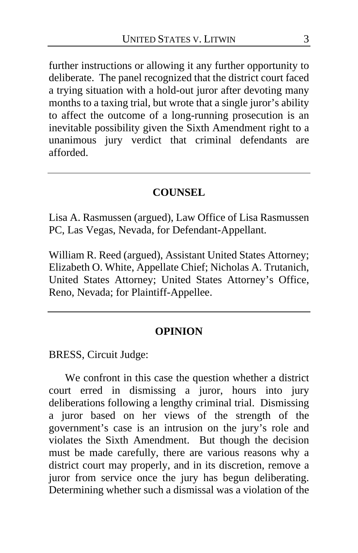further instructions or allowing it any further opportunity to deliberate. The panel recognized that the district court faced a trying situation with a hold-out juror after devoting many months to a taxing trial, but wrote that a single juror's ability to affect the outcome of a long-running prosecution is an inevitable possibility given the Sixth Amendment right to a unanimous jury verdict that criminal defendants are afforded.

### **COUNSEL**

Lisa A. Rasmussen (argued), Law Office of Lisa Rasmussen PC, Las Vegas, Nevada, for Defendant-Appellant.

William R. Reed (argued), Assistant United States Attorney; Elizabeth O. White, Appellate Chief; Nicholas A. Trutanich, United States Attorney; United States Attorney's Office, Reno, Nevada; for Plaintiff-Appellee.

### **OPINION**

BRESS, Circuit Judge:

We confront in this case the question whether a district court erred in dismissing a juror, hours into jury deliberations following a lengthy criminal trial. Dismissing a juror based on her views of the strength of the government's case is an intrusion on the jury's role and violates the Sixth Amendment. But though the decision must be made carefully, there are various reasons why a district court may properly, and in its discretion, remove a juror from service once the jury has begun deliberating. Determining whether such a dismissal was a violation of the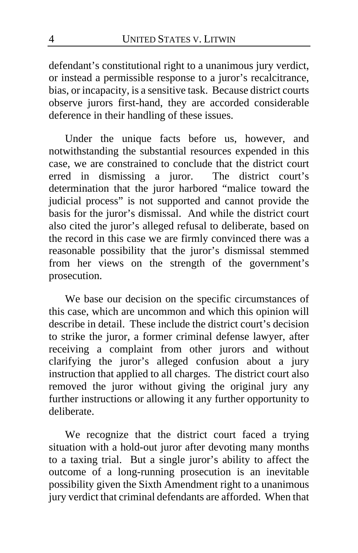defendant's constitutional right to a unanimous jury verdict, or instead a permissible response to a juror's recalcitrance, bias, or incapacity, is a sensitive task. Because district courts observe jurors first-hand, they are accorded considerable deference in their handling of these issues.

Under the unique facts before us, however, and notwithstanding the substantial resources expended in this case, we are constrained to conclude that the district court erred in dismissing a juror. The district court's determination that the juror harbored "malice toward the judicial process" is not supported and cannot provide the basis for the juror's dismissal. And while the district court also cited the juror's alleged refusal to deliberate, based on the record in this case we are firmly convinced there was a reasonable possibility that the juror's dismissal stemmed from her views on the strength of the government's prosecution.

We base our decision on the specific circumstances of this case, which are uncommon and which this opinion will describe in detail. These include the district court's decision to strike the juror, a former criminal defense lawyer, after receiving a complaint from other jurors and without clarifying the juror's alleged confusion about a jury instruction that applied to all charges. The district court also removed the juror without giving the original jury any further instructions or allowing it any further opportunity to deliberate.

We recognize that the district court faced a trying situation with a hold-out juror after devoting many months to a taxing trial. But a single juror's ability to affect the outcome of a long-running prosecution is an inevitable possibility given the Sixth Amendment right to a unanimous jury verdict that criminal defendants are afforded. When that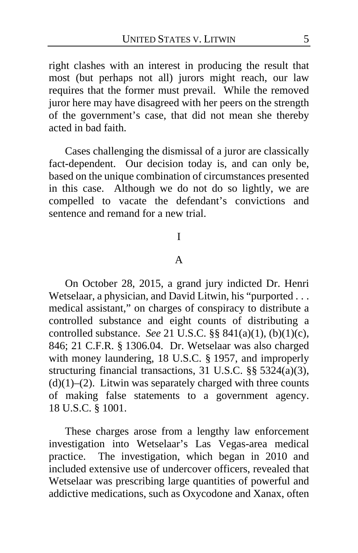right clashes with an interest in producing the result that most (but perhaps not all) jurors might reach, our law requires that the former must prevail. While the removed juror here may have disagreed with her peers on the strength of the government's case, that did not mean she thereby acted in bad faith.

Cases challenging the dismissal of a juror are classically fact-dependent. Our decision today is, and can only be, based on the unique combination of circumstances presented in this case. Although we do not do so lightly, we are compelled to vacate the defendant's convictions and sentence and remand for a new trial.

### I

### A

On October 28, 2015, a grand jury indicted Dr. Henri Wetselaar, a physician, and David Litwin, his "purported . . . medical assistant," on charges of conspiracy to distribute a controlled substance and eight counts of distributing a controlled substance. *See* 21 U.S.C. §§ 841(a)(1), (b)(1)(c), 846; 21 C.F.R. § 1306.04.Dr. Wetselaar was also charged with money laundering, 18 U.S.C. § 1957, and improperly structuring financial transactions, 31 U.S.C. §§ 5324(a)(3),  $(d)(1)$ – $(2)$ . Litwin was separately charged with three counts of making false statements to a government agency. 18 U.S.C. § 1001.

These charges arose from a lengthy law enforcement investigation into Wetselaar's Las Vegas-area medical practice. The investigation, which began in 2010 and included extensive use of undercover officers, revealed that Wetselaar was prescribing large quantities of powerful and addictive medications, such as Oxycodone and Xanax, often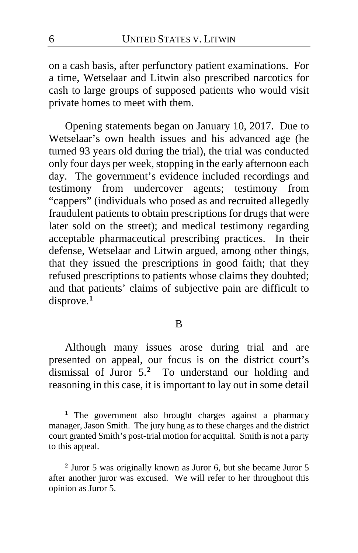on a cash basis, after perfunctory patient examinations. For a time, Wetselaar and Litwin also prescribed narcotics for cash to large groups of supposed patients who would visit private homes to meet with them.

Opening statements began on January 10, 2017. Due to Wetselaar's own health issues and his advanced age (he turned 93 years old during the trial), the trial was conducted only four days per week, stopping in the early afternoon each day. The government's evidence included recordings and testimony from undercover agents; testimony from "cappers" (individuals who posed as and recruited allegedly fraudulent patients to obtain prescriptions for drugs that were later sold on the street); and medical testimony regarding acceptable pharmaceutical prescribing practices. In their defense, Wetselaar and Litwin argued, among other things, that they issued the prescriptions in good faith; that they refused prescriptions to patients whose claims they doubted; and that patients' claims of subjective pain are difficult to disprove.**[1](#page-5-0)**

### B

Although many issues arose during trial and are presented on appeal, our focus is on the district court's dismissal of Juror 5.**[2](#page-5-1)** To understand our holding and reasoning in this case, it is important to lay out in some detail

<span id="page-5-0"></span>**<sup>1</sup>** The government also brought charges against a pharmacy manager, Jason Smith. The jury hung as to these charges and the district court granted Smith's post-trial motion for acquittal. Smith is not a party to this appeal.

<span id="page-5-1"></span>**<sup>2</sup>** Juror 5 was originally known as Juror 6, but she became Juror 5 after another juror was excused. We will refer to her throughout this opinion as Juror 5.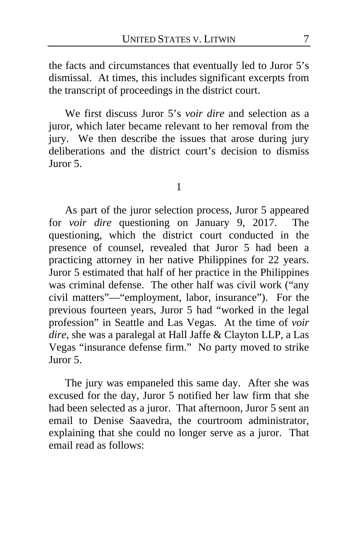the facts and circumstances that eventually led to Juror 5's dismissal. At times, this includes significant excerpts from the transcript of proceedings in the district court.

We first discuss Juror 5's *voir dire* and selection as a juror, which later became relevant to her removal from the jury. We then describe the issues that arose during jury deliberations and the district court's decision to dismiss Juror 5.

1

As part of the juror selection process, Juror 5 appeared for *voir dire* questioning on January 9, 2017. The questioning, which the district court conducted in the presence of counsel, revealed that Juror 5 had been a practicing attorney in her native Philippines for 22 years. Juror 5 estimated that half of her practice in the Philippines was criminal defense. The other half was civil work ("any civil matters"—"employment, labor, insurance"). For the previous fourteen years, Juror 5 had "worked in the legal profession" in Seattle and Las Vegas. At the time of *voir dire*, she was a paralegal at Hall Jaffe & Clayton LLP, a Las Vegas "insurance defense firm." No party moved to strike Juror 5.

The jury was empaneled this same day. After she was excused for the day, Juror 5 notified her law firm that she had been selected as a juror. That afternoon, Juror 5 sent an email to Denise Saavedra, the courtroom administrator, explaining that she could no longer serve as a juror. That email read as follows: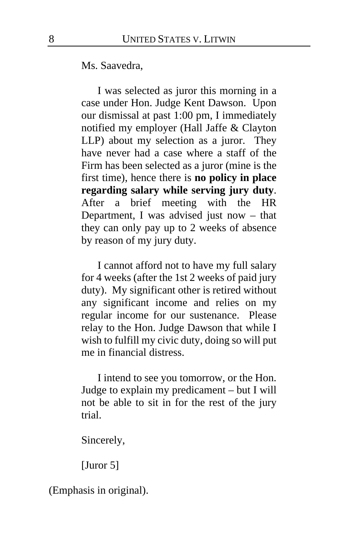Ms. Saavedra,

I was selected as juror this morning in a case under Hon. Judge Kent Dawson. Upon our dismissal at past 1:00 pm, I immediately notified my employer (Hall Jaffe & Clayton LLP) about my selection as a juror. They have never had a case where a staff of the Firm has been selected as a juror (mine is the first time), hence there is **no policy in place regarding salary while serving jury duty**. After a brief meeting with the HR Department, I was advised just now – that they can only pay up to 2 weeks of absence by reason of my jury duty.

I cannot afford not to have my full salary for 4 weeks (after the 1st 2 weeks of paid jury duty). My significant other is retired without any significant income and relies on my regular income for our sustenance. Please relay to the Hon. Judge Dawson that while I wish to fulfill my civic duty, doing so will put me in financial distress.

I intend to see you tomorrow, or the Hon. Judge to explain my predicament – but I will not be able to sit in for the rest of the jury trial.

Sincerely,

[Juror 5]

(Emphasis in original).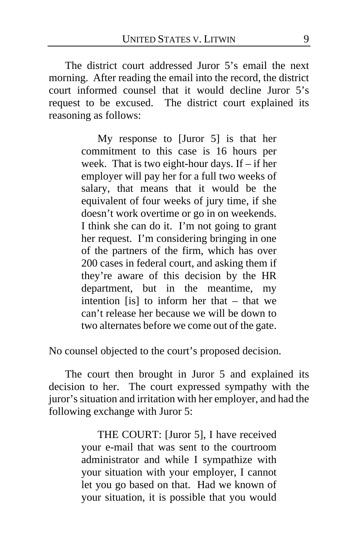The district court addressed Juror 5's email the next morning. After reading the email into the record, the district court informed counsel that it would decline Juror 5's request to be excused. The district court explained its reasoning as follows:

> My response to [Juror 5] is that her commitment to this case is 16 hours per week. That is two eight-hour days. If – if her employer will pay her for a full two weeks of salary, that means that it would be the equivalent of four weeks of jury time, if she doesn't work overtime or go in on weekends. I think she can do it. I'm not going to grant her request. I'm considering bringing in one of the partners of the firm, which has over 200 cases in federal court, and asking them if they're aware of this decision by the HR department, but in the meantime, my intention [is] to inform her that  $-$  that we can't release her because we will be down to two alternates before we come out of the gate.

No counsel objected to the court's proposed decision.

The court then brought in Juror 5 and explained its decision to her. The court expressed sympathy with the juror's situation and irritation with her employer, and had the following exchange with Juror 5:

> THE COURT: [Juror 5], I have received your e-mail that was sent to the courtroom administrator and while I sympathize with your situation with your employer, I cannot let you go based on that. Had we known of your situation, it is possible that you would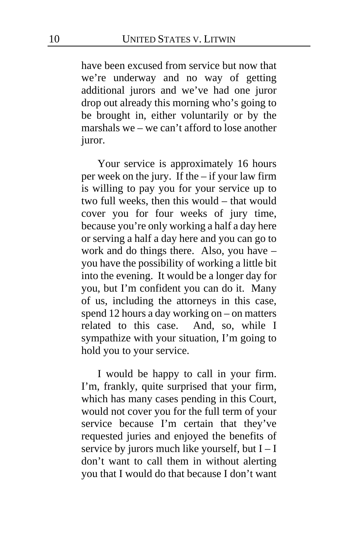have been excused from service but now that we're underway and no way of getting additional jurors and we've had one juror drop out already this morning who's going to be brought in, either voluntarily or by the marshals we – we can't afford to lose another juror.

Your service is approximately 16 hours per week on the jury. If the – if your law firm is willing to pay you for your service up to two full weeks, then this would – that would cover you for four weeks of jury time, because you're only working a half a day here or serving a half a day here and you can go to work and do things there. Also, you have – you have the possibility of working a little bit into the evening. It would be a longer day for you, but I'm confident you can do it. Many of us, including the attorneys in this case, spend 12 hours a day working on – on matters related to this case. And, so, while I sympathize with your situation, I'm going to hold you to your service.

I would be happy to call in your firm. I'm, frankly, quite surprised that your firm, which has many cases pending in this Court, would not cover you for the full term of your service because I'm certain that they've requested juries and enjoyed the benefits of service by jurors much like yourself, but  $I - I$ don't want to call them in without alerting you that I would do that because I don't want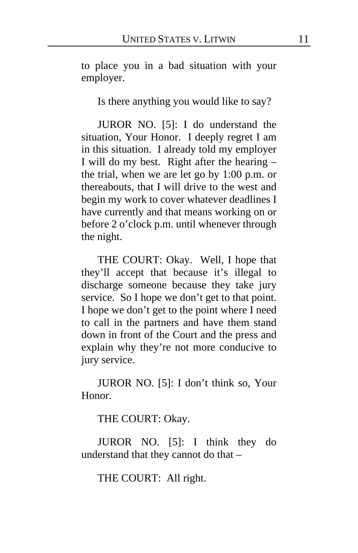to place you in a bad situation with your employer.

Is there anything you would like to say?

JUROR NO. [5]: I do understand the situation, Your Honor. I deeply regret I am in this situation. I already told my employer I will do my best. Right after the hearing – the trial, when we are let go by 1:00 p.m. or thereabouts, that I will drive to the west and begin my work to cover whatever deadlines I have currently and that means working on or before 2 o'clock p.m. until whenever through the night.

THE COURT: Okay. Well, I hope that they'll accept that because it's illegal to discharge someone because they take jury service. So I hope we don't get to that point. I hope we don't get to the point where I need to call in the partners and have them stand down in front of the Court and the press and explain why they're not more conducive to jury service.

JUROR NO. [5]: I don't think so, Your Honor.

THE COURT: Okay.

JUROR NO. [5]: I think they do understand that they cannot do that –

THE COURT: All right.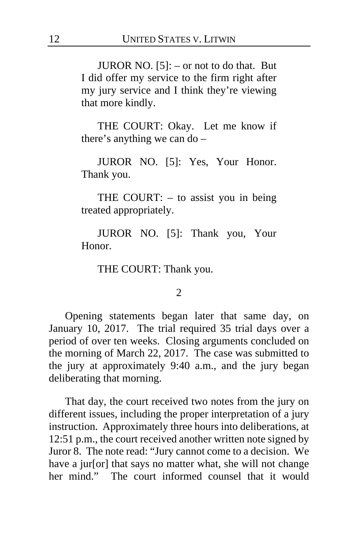JUROR NO. [5]: – or not to do that. But I did offer my service to the firm right after my jury service and I think they're viewing that more kindly.

THE COURT: Okay. Let me know if there's anything we can do –

JUROR NO. [5]: Yes, Your Honor. Thank you.

THE COURT: – to assist you in being treated appropriately.

JUROR NO. [5]: Thank you, Your Honor.

THE COURT: Thank you.

#### 2

Opening statements began later that same day, on January 10, 2017. The trial required 35 trial days over a period of over ten weeks. Closing arguments concluded on the morning of March 22, 2017. The case was submitted to the jury at approximately 9:40 a.m., and the jury began deliberating that morning.

That day, the court received two notes from the jury on different issues, including the proper interpretation of a jury instruction. Approximately three hours into deliberations, at 12:51 p.m., the court received another written note signed by Juror 8. The note read: "Jury cannot come to a decision. We have a jur[or] that says no matter what, she will not change her mind." The court informed counsel that it would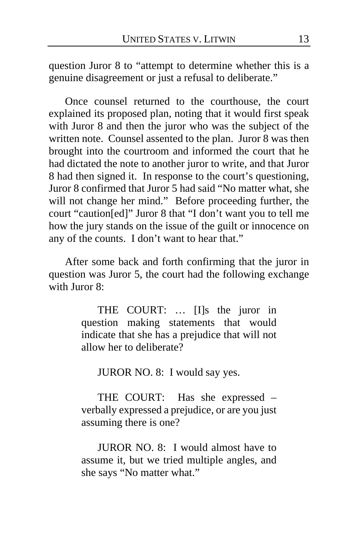question Juror 8 to "attempt to determine whether this is a genuine disagreement or just a refusal to deliberate."

Once counsel returned to the courthouse, the court explained its proposed plan, noting that it would first speak with Juror 8 and then the juror who was the subject of the written note. Counsel assented to the plan. Juror 8 was then brought into the courtroom and informed the court that he had dictated the note to another juror to write, and that Juror 8 had then signed it. In response to the court's questioning, Juror 8 confirmed that Juror 5 had said "No matter what, she will not change her mind." Before proceeding further, the court "caution[ed]" Juror 8 that "I don't want you to tell me how the jury stands on the issue of the guilt or innocence on any of the counts. I don't want to hear that."

After some back and forth confirming that the juror in question was Juror 5, the court had the following exchange with Juror 8:

> THE COURT: … [I]s the juror in question making statements that would indicate that she has a prejudice that will not allow her to deliberate?

JUROR NO. 8: I would say yes.

THE COURT: Has she expressed – verbally expressed a prejudice, or are you just assuming there is one?

JUROR NO. 8: I would almost have to assume it, but we tried multiple angles, and she says "No matter what."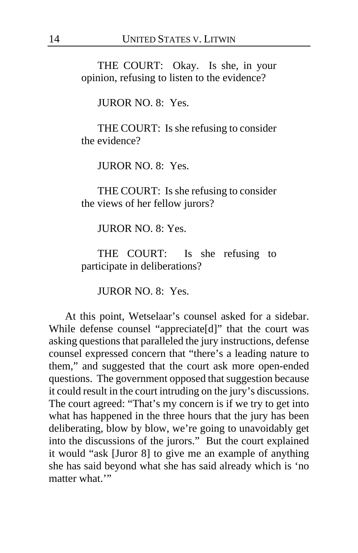THE COURT: Okay. Is she, in your opinion, refusing to listen to the evidence?

JUROR NO. 8: Yes.

THE COURT: Is she refusing to consider the evidence?

JUROR NO. 8: Yes.

THE COURT: Is she refusing to consider the views of her fellow jurors?

JUROR NO. 8: Yes.

THE COURT: Is she refusing to participate in deliberations?

JUROR NO. 8: Yes.

At this point, Wetselaar's counsel asked for a sidebar. While defense counsel "appreciate[d]" that the court was asking questions that paralleled the jury instructions, defense counsel expressed concern that "there's a leading nature to them," and suggested that the court ask more open-ended questions. The government opposed that suggestion because it could result in the court intruding on the jury's discussions. The court agreed: "That's my concern is if we try to get into what has happened in the three hours that the jury has been deliberating, blow by blow, we're going to unavoidably get into the discussions of the jurors." But the court explained it would "ask [Juror 8] to give me an example of anything she has said beyond what she has said already which is 'no matter what "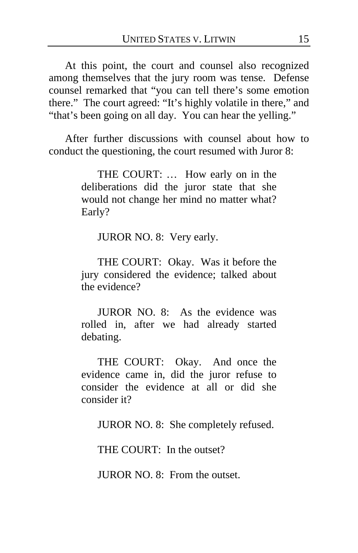At this point, the court and counsel also recognized among themselves that the jury room was tense. Defense counsel remarked that "you can tell there's some emotion there." The court agreed: "It's highly volatile in there," and "that's been going on all day. You can hear the yelling."

After further discussions with counsel about how to conduct the questioning, the court resumed with Juror 8:

> THE COURT: … How early on in the deliberations did the juror state that she would not change her mind no matter what? Early?

JUROR NO. 8: Very early.

THE COURT: Okay. Was it before the jury considered the evidence; talked about the evidence?

JUROR NO. 8: As the evidence was rolled in, after we had already started debating.

THE COURT: Okay. And once the evidence came in, did the juror refuse to consider the evidence at all or did she consider it?

JUROR NO. 8: She completely refused.

THE COURT: In the outset?

JUROR NO. 8: From the outset.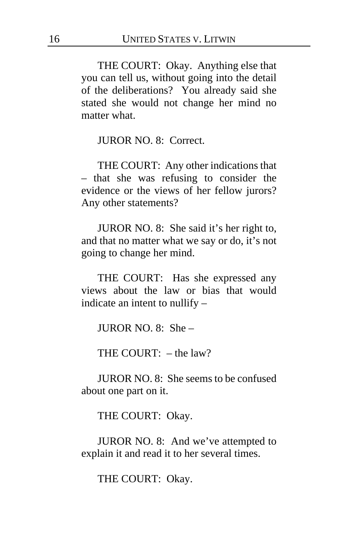THE COURT: Okay. Anything else that you can tell us, without going into the detail of the deliberations? You already said she stated she would not change her mind no matter what.

JUROR NO. 8: Correct.

THE COURT: Any other indications that – that she was refusing to consider the evidence or the views of her fellow jurors? Any other statements?

JUROR NO. 8: She said it's her right to, and that no matter what we say or do, it's not going to change her mind.

THE COURT: Has she expressed any views about the law or bias that would indicate an intent to nullify –

**JUROR NO. 8:** She –

THE COURT: – the law?

JUROR NO. 8: She seems to be confused about one part on it.

THE COURT: Okay.

JUROR NO. 8: And we've attempted to explain it and read it to her several times.

THE COURT: Okay.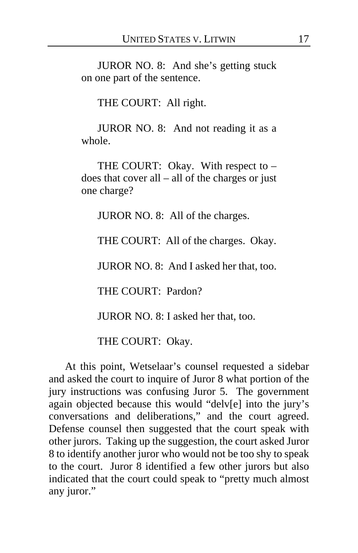JUROR NO. 8: And she's getting stuck on one part of the sentence.

THE COURT: All right.

JUROR NO. 8: And not reading it as a whole.

THE COURT: Okay. With respect to  $$ does that cover all – all of the charges or just one charge?

JUROR NO. 8: All of the charges.

THE COURT: All of the charges. Okay.

JUROR NO. 8: And I asked her that, too.

THE COURT: Pardon?

JUROR NO. 8: I asked her that, too.

THE COURT: Okay.

At this point, Wetselaar's counsel requested a sidebar and asked the court to inquire of Juror 8 what portion of the jury instructions was confusing Juror 5. The government again objected because this would "delv[e] into the jury's conversations and deliberations," and the court agreed. Defense counsel then suggested that the court speak with other jurors. Taking up the suggestion, the court asked Juror 8 to identify another juror who would not be too shy to speak to the court. Juror 8 identified a few other jurors but also indicated that the court could speak to "pretty much almost any juror."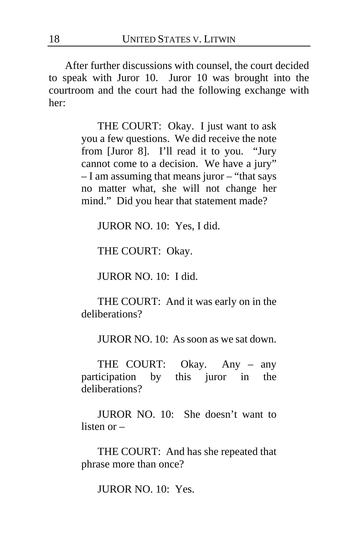After further discussions with counsel, the court decided to speak with Juror 10. Juror 10 was brought into the courtroom and the court had the following exchange with her:

> THE COURT: Okay. I just want to ask you a few questions. We did receive the note from [Juror 8]. I'll read it to you. "Jury cannot come to a decision. We have a jury" – I am assuming that means juror – "that says no matter what, she will not change her mind." Did you hear that statement made?

JUROR NO. 10: Yes, I did.

THE COURT: Okay.

JUROR NO. 10: I did.

THE COURT: And it was early on in the deliberations?

JUROR NO. 10: As soon as we sat down.

THE COURT: Okay. Any – any participation by this juror in the deliberations?

JUROR NO. 10: She doesn't want to listen or –

THE COURT: And has she repeated that phrase more than once?

JUROR NO. 10: Yes.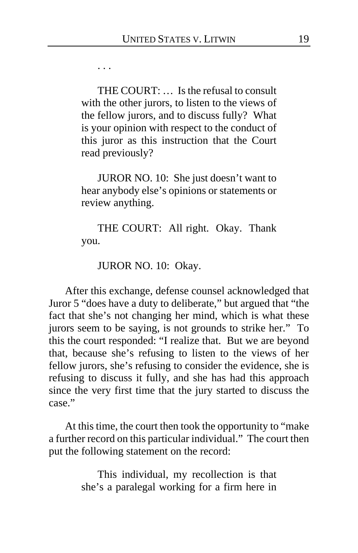. . .

THE COURT: … Is the refusal to consult with the other jurors, to listen to the views of the fellow jurors, and to discuss fully? What is your opinion with respect to the conduct of this juror as this instruction that the Court read previously?

JUROR NO. 10: She just doesn't want to hear anybody else's opinions or statements or review anything.

THE COURT: All right. Okay. Thank you.

JUROR NO. 10: Okay.

After this exchange, defense counsel acknowledged that Juror 5 "does have a duty to deliberate," but argued that "the fact that she's not changing her mind, which is what these jurors seem to be saying, is not grounds to strike her." To this the court responded: "I realize that. But we are beyond that, because she's refusing to listen to the views of her fellow jurors, she's refusing to consider the evidence, she is refusing to discuss it fully, and she has had this approach since the very first time that the jury started to discuss the case."

At this time, the court then took the opportunity to "make a further record on this particular individual." The court then put the following statement on the record:

> This individual, my recollection is that she's a paralegal working for a firm here in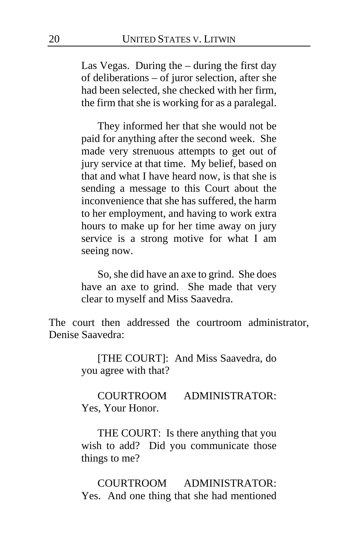Las Vegas. During the – during the first day of deliberations – of juror selection, after she had been selected, she checked with her firm, the firm that she is working for as a paralegal.

They informed her that she would not be paid for anything after the second week. She made very strenuous attempts to get out of jury service at that time. My belief, based on that and what I have heard now, is that she is sending a message to this Court about the inconvenience that she has suffered, the harm to her employment, and having to work extra hours to make up for her time away on jury service is a strong motive for what I am seeing now.

So, she did have an axe to grind. She does have an axe to grind. She made that very clear to myself and Miss Saavedra.

The court then addressed the courtroom administrator, Denise Saavedra:

> [THE COURT]: And Miss Saavedra, do you agree with that?

> COURTROOM ADMINISTRATOR: Yes, Your Honor.

> THE COURT: Is there anything that you wish to add? Did you communicate those things to me?

> COURTROOM ADMINISTRATOR: Yes. And one thing that she had mentioned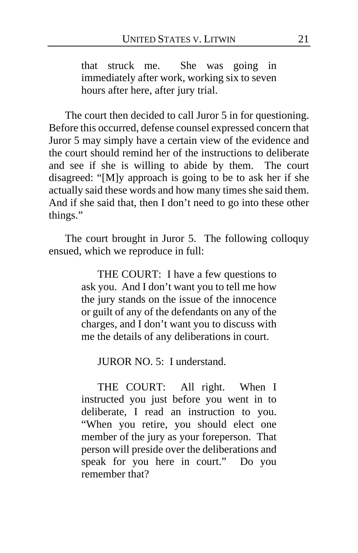that struck me. She was going in immediately after work, working six to seven hours after here, after jury trial.

The court then decided to call Juror 5 in for questioning. Before this occurred, defense counsel expressed concern that Juror 5 may simply have a certain view of the evidence and the court should remind her of the instructions to deliberate and see if she is willing to abide by them. The court disagreed: "[M]y approach is going to be to ask her if she actually said these words and how many times she said them. And if she said that, then I don't need to go into these other things."

The court brought in Juror 5. The following colloquy ensued, which we reproduce in full:

> THE COURT: I have a few questions to ask you. And I don't want you to tell me how the jury stands on the issue of the innocence or guilt of any of the defendants on any of the charges, and I don't want you to discuss with me the details of any deliberations in court.

JUROR NO. 5: I understand.

THE COURT: All right. When I instructed you just before you went in to deliberate, I read an instruction to you. "When you retire, you should elect one member of the jury as your foreperson. That person will preside over the deliberations and speak for you here in court." Do you remember that?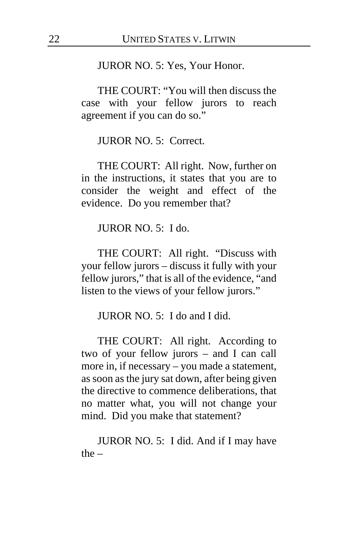#### JUROR NO. 5: Yes, Your Honor.

THE COURT: "You will then discuss the case with your fellow jurors to reach agreement if you can do so."

JUROR NO. 5: Correct.

THE COURT: All right. Now, further on in the instructions, it states that you are to consider the weight and effect of the evidence. Do you remember that?

JUROR NO. 5: I do.

THE COURT: All right. "Discuss with your fellow jurors – discuss it fully with your fellow jurors," that is all of the evidence, "and listen to the views of your fellow jurors."

JUROR NO. 5: I do and I did.

THE COURT: All right. According to two of your fellow jurors – and I can call more in, if necessary – you made a statement, as soon as the jury sat down, after being given the directive to commence deliberations, that no matter what, you will not change your mind. Did you make that statement?

JUROR NO. 5: I did. And if I may have the –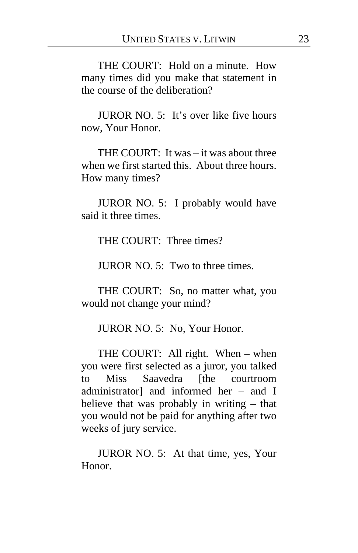THE COURT: Hold on a minute. How many times did you make that statement in the course of the deliberation?

JUROR NO. 5: It's over like five hours now, Your Honor.

THE COURT: It was – it was about three when we first started this. About three hours. How many times?

JUROR NO. 5: I probably would have said it three times.

THE COURT: Three times?

JUROR NO. 5: Two to three times.

THE COURT: So, no matter what, you would not change your mind?

JUROR NO. 5: No, Your Honor.

THE COURT: All right. When – when you were first selected as a juror, you talked to Miss Saavedra [the courtroom administrator] and informed her – and I believe that was probably in writing – that you would not be paid for anything after two weeks of jury service.

JUROR NO. 5: At that time, yes, Your Honor.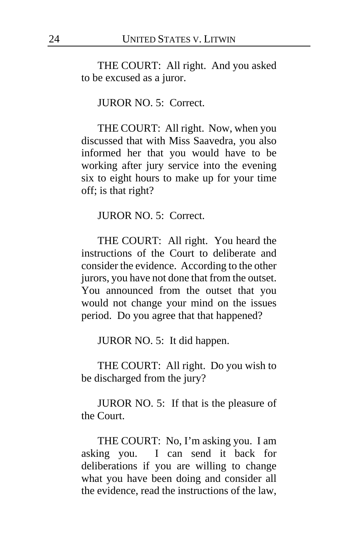THE COURT: All right. And you asked to be excused as a juror.

### JUROR NO. 5: Correct.

THE COURT: All right. Now, when you discussed that with Miss Saavedra, you also informed her that you would have to be working after jury service into the evening six to eight hours to make up for your time off; is that right?

JUROR NO. 5: Correct.

THE COURT: All right. You heard the instructions of the Court to deliberate and consider the evidence. According to the other jurors, you have not done that from the outset. You announced from the outset that you would not change your mind on the issues period. Do you agree that that happened?

JUROR NO. 5: It did happen.

THE COURT: All right. Do you wish to be discharged from the jury?

JUROR NO. 5: If that is the pleasure of the Court.

THE COURT: No, I'm asking you. I am asking you. I can send it back for deliberations if you are willing to change what you have been doing and consider all the evidence, read the instructions of the law,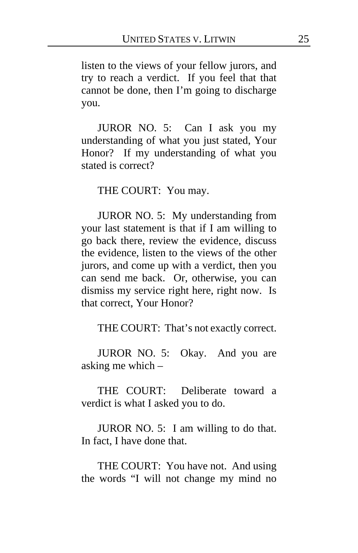listen to the views of your fellow jurors, and try to reach a verdict. If you feel that that cannot be done, then I'm going to discharge you.

JUROR NO. 5: Can I ask you my understanding of what you just stated, Your Honor? If my understanding of what you stated is correct?

THE COURT: You may.

JUROR NO. 5: My understanding from your last statement is that if I am willing to go back there, review the evidence, discuss the evidence, listen to the views of the other jurors, and come up with a verdict, then you can send me back. Or, otherwise, you can dismiss my service right here, right now. Is that correct, Your Honor?

THE COURT: That's not exactly correct.

JUROR NO. 5: Okay. And you are asking me which –

THE COURT: Deliberate toward a verdict is what I asked you to do.

JUROR NO. 5: I am willing to do that. In fact, I have done that.

THE COURT: You have not. And using the words "I will not change my mind no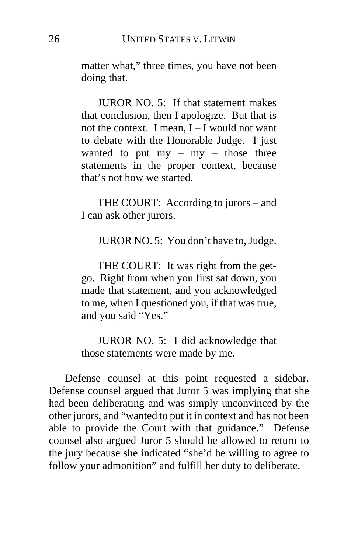matter what," three times, you have not been doing that.

JUROR NO. 5: If that statement makes that conclusion, then I apologize. But that is not the context. I mean,  $I - I$  would not want to debate with the Honorable Judge. I just wanted to put my – my – those three statements in the proper context, because that's not how we started.

THE COURT: According to jurors – and I can ask other jurors.

JUROR NO. 5: You don't have to, Judge.

THE COURT: It was right from the getgo. Right from when you first sat down, you made that statement, and you acknowledged to me, when I questioned you, if that was true, and you said "Yes."

JUROR NO. 5: I did acknowledge that those statements were made by me.

Defense counsel at this point requested a sidebar. Defense counsel argued that Juror 5 was implying that she had been deliberating and was simply unconvinced by the other jurors, and "wanted to put it in context and has not been able to provide the Court with that guidance." Defense counsel also argued Juror 5 should be allowed to return to the jury because she indicated "she'd be willing to agree to follow your admonition" and fulfill her duty to deliberate.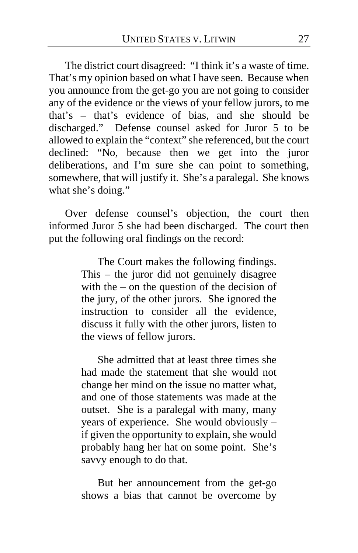The district court disagreed: "I think it's a waste of time. That's my opinion based on what I have seen. Because when you announce from the get-go you are not going to consider any of the evidence or the views of your fellow jurors, to me that's – that's evidence of bias, and she should be discharged." Defense counsel asked for Juror 5 to be allowed to explain the "context" she referenced, but the court declined: "No, because then we get into the juror deliberations, and I'm sure she can point to something, somewhere, that will justify it. She's a paralegal. She knows what she's doing."

Over defense counsel's objection, the court then informed Juror 5 she had been discharged. The court then put the following oral findings on the record:

> The Court makes the following findings. This – the juror did not genuinely disagree with the – on the question of the decision of the jury, of the other jurors. She ignored the instruction to consider all the evidence, discuss it fully with the other jurors, listen to the views of fellow jurors.

> She admitted that at least three times she had made the statement that she would not change her mind on the issue no matter what, and one of those statements was made at the outset. She is a paralegal with many, many years of experience. She would obviously – if given the opportunity to explain, she would probably hang her hat on some point. She's savvy enough to do that.

> But her announcement from the get-go shows a bias that cannot be overcome by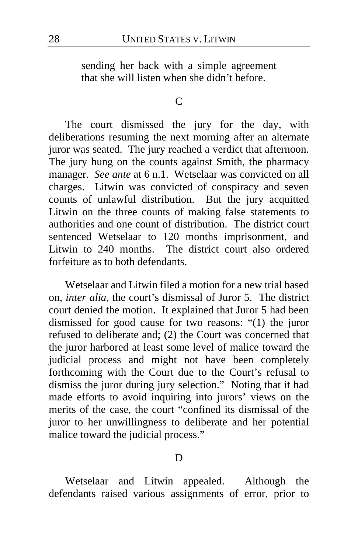sending her back with a simple agreement that she will listen when she didn't before.

#### $\mathcal{C}$

The court dismissed the jury for the day, with deliberations resuming the next morning after an alternate juror was seated. The jury reached a verdict that afternoon. The jury hung on the counts against Smith, the pharmacy manager. *See ante* at 6 n.1. Wetselaar was convicted on all charges. Litwin was convicted of conspiracy and seven counts of unlawful distribution. But the jury acquitted Litwin on the three counts of making false statements to authorities and one count of distribution. The district court sentenced Wetselaar to 120 months imprisonment, and Litwin to 240 months. The district court also ordered forfeiture as to both defendants.

Wetselaar and Litwin filed a motion for a new trial based on, *inter alia*, the court's dismissal of Juror 5. The district court denied the motion. It explained that Juror 5 had been dismissed for good cause for two reasons: "(1) the juror refused to deliberate and; (2) the Court was concerned that the juror harbored at least some level of malice toward the judicial process and might not have been completely forthcoming with the Court due to the Court's refusal to dismiss the juror during jury selection." Noting that it had made efforts to avoid inquiring into jurors' views on the merits of the case, the court "confined its dismissal of the juror to her unwillingness to deliberate and her potential malice toward the judicial process."

### D

Wetselaar and Litwin appealed. Although the defendants raised various assignments of error, prior to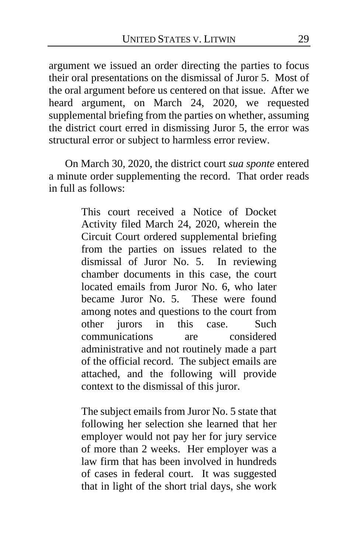argument we issued an order directing the parties to focus their oral presentations on the dismissal of Juror 5. Most of the oral argument before us centered on that issue. After we heard argument, on March 24, 2020, we requested supplemental briefing from the parties on whether, assuming the district court erred in dismissing Juror 5, the error was structural error or subject to harmless error review.

On March 30, 2020, the district court *sua sponte* entered a minute order supplementing the record. That order reads in full as follows:

> This court received a Notice of Docket Activity filed March 24, 2020, wherein the Circuit Court ordered supplemental briefing from the parties on issues related to the dismissal of Juror No. 5. In reviewing chamber documents in this case, the court located emails from Juror No. 6, who later became Juror No. 5. These were found among notes and questions to the court from other jurors in this case. Such communications are considered administrative and not routinely made a part of the official record. The subject emails are attached, and the following will provide context to the dismissal of this juror.

> The subject emails from Juror No. 5 state that following her selection she learned that her employer would not pay her for jury service of more than 2 weeks. Her employer was a law firm that has been involved in hundreds of cases in federal court. It was suggested that in light of the short trial days, she work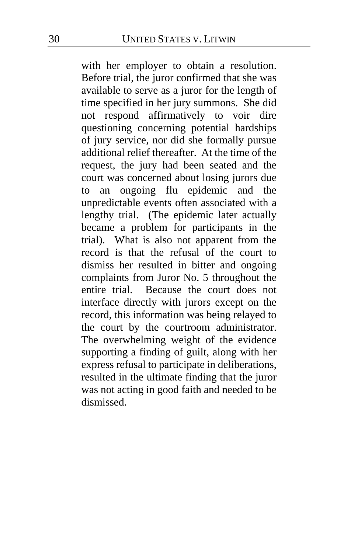with her employer to obtain a resolution. Before trial, the juror confirmed that she was available to serve as a juror for the length of time specified in her jury summons. She did not respond affirmatively to voir dire questioning concerning potential hardships of jury service, nor did she formally pursue additional relief thereafter. At the time of the request, the jury had been seated and the court was concerned about losing jurors due to an ongoing flu epidemic and the unpredictable events often associated with a lengthy trial. (The epidemic later actually became a problem for participants in the trial). What is also not apparent from the record is that the refusal of the court to dismiss her resulted in bitter and ongoing complaints from Juror No. 5 throughout the entire trial. Because the court does not interface directly with jurors except on the record, this information was being relayed to the court by the courtroom administrator. The overwhelming weight of the evidence supporting a finding of guilt, along with her express refusal to participate in deliberations, resulted in the ultimate finding that the juror was not acting in good faith and needed to be dismissed.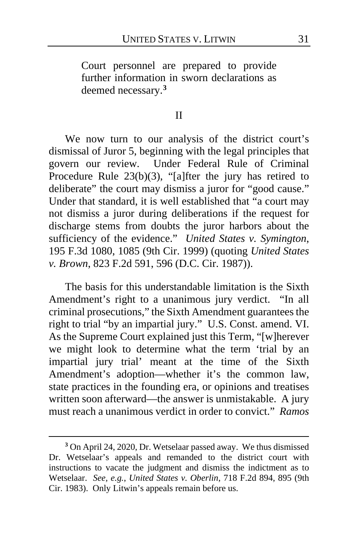Court personnel are prepared to provide further information in sworn declarations as deemed necessary.**[3](#page-30-0)**

### II

We now turn to our analysis of the district court's dismissal of Juror 5, beginning with the legal principles that govern our review. Under Federal Rule of Criminal Procedure Rule  $23(b)(3)$ , "[a]fter the jury has retired to deliberate" the court may dismiss a juror for "good cause." Under that standard, it is well established that "a court may not dismiss a juror during deliberations if the request for discharge stems from doubts the juror harbors about the sufficiency of the evidence." *United States v. Symington*, 195 F.3d 1080, 1085 (9th Cir. 1999) (quoting *United States v. Brown*, 823 F.2d 591, 596 (D.C. Cir. 1987)).

The basis for this understandable limitation is the Sixth Amendment's right to a unanimous jury verdict. "In all criminal prosecutions," the Sixth Amendment guarantees the right to trial "by an impartial jury." U.S. Const. amend. VI. As the Supreme Court explained just this Term, "[w]herever we might look to determine what the term 'trial by an impartial jury trial' meant at the time of the Sixth Amendment's adoption—whether it's the common law, state practices in the founding era, or opinions and treatises written soon afterward—the answer is unmistakable. A jury must reach a unanimous verdict in order to convict." *Ramos* 

<span id="page-30-0"></span>**<sup>3</sup>** On April 24, 2020, Dr. Wetselaar passed away. We thus dismissed Dr. Wetselaar's appeals and remanded to the district court with instructions to vacate the judgment and dismiss the indictment as to Wetselaar. *See, e.g.*, *United States v. Oberlin*, 718 F.2d 894, 895 (9th Cir. 1983). Only Litwin's appeals remain before us.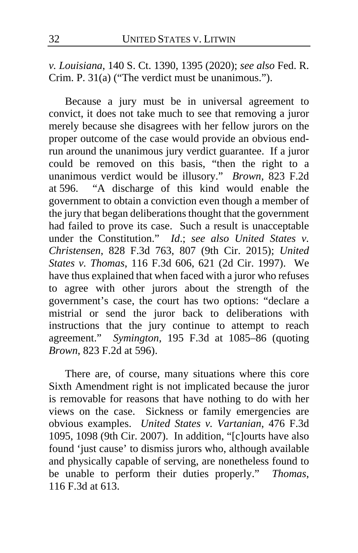*v. Louisiana*, 140 S. Ct. 1390, 1395 (2020); *see also* Fed. R. Crim. P. 31(a) ("The verdict must be unanimous.").

Because a jury must be in universal agreement to convict, it does not take much to see that removing a juror merely because she disagrees with her fellow jurors on the proper outcome of the case would provide an obvious endrun around the unanimous jury verdict guarantee. If a juror could be removed on this basis, "then the right to a unanimous verdict would be illusory." *Brown*, 823 F.2d at 596. "A discharge of this kind would enable the "A discharge of this kind would enable the government to obtain a conviction even though a member of the jury that began deliberations thought that the government had failed to prove its case. Such a result is unacceptable under the Constitution." *Id*.; *see also United States v. Christensen*, 828 F.3d 763, 807 (9th Cir. 2015); *United States v. Thomas*, 116 F.3d 606, 621 (2d Cir. 1997). We have thus explained that when faced with a juror who refuses to agree with other jurors about the strength of the government's case, the court has two options: "declare a mistrial or send the juror back to deliberations with instructions that the jury continue to attempt to reach agreement." *Symington*, 195 F.3d at 1085–86 (quoting *Brown*, 823 F.2d at 596).

There are, of course, many situations where this core Sixth Amendment right is not implicated because the juror is removable for reasons that have nothing to do with her views on the case. Sickness or family emergencies are obvious examples. *United States v. Vartanian*, 476 F.3d 1095, 1098 (9th Cir. 2007). In addition, "[c]ourts have also found 'just cause' to dismiss jurors who, although available and physically capable of serving, are nonetheless found to be unable to perform their duties properly." *Thomas*, 116 F.3d at 613.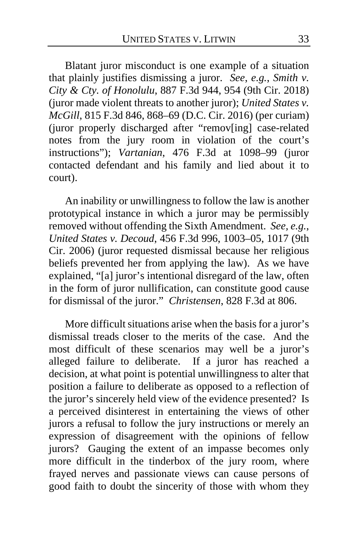Blatant juror misconduct is one example of a situation that plainly justifies dismissing a juror. *See*, *e.g.*, *Smith v. City & Cty. of Honolulu*, 887 F.3d 944, 954 (9th Cir. 2018) (juror made violent threats to another juror); *United States v. McGill*, 815 F.3d 846, 868–69 (D.C. Cir. 2016) (per curiam) (juror properly discharged after "remov[ing] case-related notes from the jury room in violation of the court's instructions"); *Vartanian*, 476 F.3d at 1098–99 (juror contacted defendant and his family and lied about it to court).

An inability or unwillingness to follow the law is another prototypical instance in which a juror may be permissibly removed without offending the Sixth Amendment. *See, e.g.*, *United States v. Decoud*, 456 F.3d 996, 1003–05, 1017 (9th Cir. 2006) (juror requested dismissal because her religious beliefs prevented her from applying the law). As we have explained, "[a] juror's intentional disregard of the law, often in the form of juror nullification, can constitute good cause for dismissal of the juror." *Christensen*, 828 F.3d at 806.

More difficult situations arise when the basis for a juror's dismissal treads closer to the merits of the case. And the most difficult of these scenarios may well be a juror's alleged failure to deliberate. If a juror has reached a decision, at what point is potential unwillingness to alter that position a failure to deliberate as opposed to a reflection of the juror's sincerely held view of the evidence presented? Is a perceived disinterest in entertaining the views of other jurors a refusal to follow the jury instructions or merely an expression of disagreement with the opinions of fellow jurors? Gauging the extent of an impasse becomes only more difficult in the tinderbox of the jury room, where frayed nerves and passionate views can cause persons of good faith to doubt the sincerity of those with whom they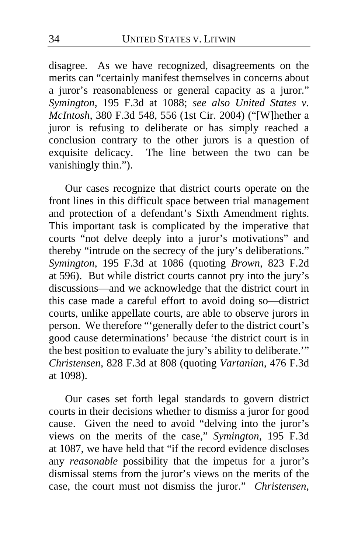disagree. As we have recognized, disagreements on the merits can "certainly manifest themselves in concerns about a juror's reasonableness or general capacity as a juror." *Symington*, 195 F.3d at 1088; *see also United States v. McIntosh*, 380 F.3d 548, 556 (1st Cir. 2004) ("[W]hether a juror is refusing to deliberate or has simply reached a conclusion contrary to the other jurors is a question of exquisite delicacy. The line between the two can be The line between the two can be vanishingly thin.").

Our cases recognize that district courts operate on the front lines in this difficult space between trial management and protection of a defendant's Sixth Amendment rights. This important task is complicated by the imperative that courts "not delve deeply into a juror's motivations" and thereby "intrude on the secrecy of the jury's deliberations." *Symington*, 195 F.3d at 1086 (quoting *Brown*, 823 F.2d at 596). But while district courts cannot pry into the jury's discussions—and we acknowledge that the district court in this case made a careful effort to avoid doing so—district courts, unlike appellate courts, are able to observe jurors in person. We therefore "'generally defer to the district court's good cause determinations' because 'the district court is in the best position to evaluate the jury's ability to deliberate.'" *Christensen*, 828 F.3d at 808 (quoting *Vartanian*, 476 F.3d at 1098).

Our cases set forth legal standards to govern district courts in their decisions whether to dismiss a juror for good cause. Given the need to avoid "delving into the juror's views on the merits of the case," *Symington*, 195 F.3d at 1087, we have held that "if the record evidence discloses any *reasonable* possibility that the impetus for a juror's dismissal stems from the juror's views on the merits of the case, the court must not dismiss the juror." *Christensen*,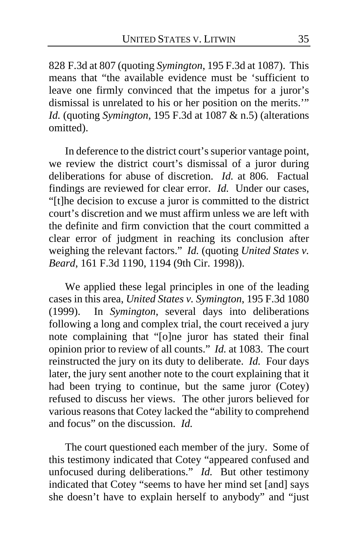828 F.3d at 807 (quoting *Symington*, 195 F.3d at 1087). This means that "the available evidence must be 'sufficient to leave one firmly convinced that the impetus for a juror's dismissal is unrelated to his or her position on the merits.'" *Id.* (quoting *Symington*, 195 F.3d at 1087 & n.5) (alterations omitted).

In deference to the district court's superior vantage point, we review the district court's dismissal of a juror during deliberations for abuse of discretion. *Id.* at 806. Factual findings are reviewed for clear error. *Id.* Under our cases, "[t]he decision to excuse a juror is committed to the district court's discretion and we must affirm unless we are left with the definite and firm conviction that the court committed a clear error of judgment in reaching its conclusion after weighing the relevant factors." *Id.* (quoting *United States v. Beard*, 161 F.3d 1190, 1194 (9th Cir. 1998)).

We applied these legal principles in one of the leading cases in this area, *United States v. Symington*, 195 F.3d 1080 (1999). In *Symington*, several days into deliberations following a long and complex trial, the court received a jury note complaining that "[o]ne juror has stated their final opinion prior to review of all counts." *Id.* at 1083. The court reinstructed the jury on its duty to deliberate. *Id.* Four days later, the jury sent another note to the court explaining that it had been trying to continue, but the same juror (Cotey) refused to discuss her views. The other jurors believed for various reasons that Cotey lacked the "ability to comprehend and focus" on the discussion. *Id.*

The court questioned each member of the jury. Some of this testimony indicated that Cotey "appeared confused and unfocused during deliberations." *Id.* But other testimony indicated that Cotey "seems to have her mind set [and] says she doesn't have to explain herself to anybody" and "just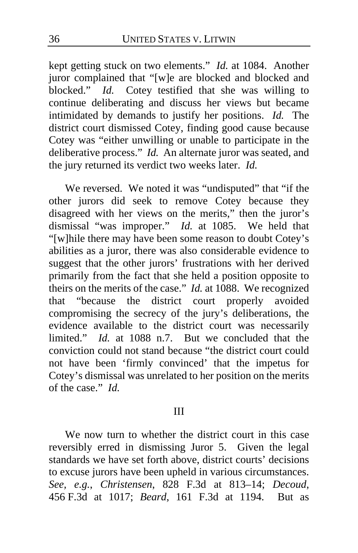kept getting stuck on two elements." *Id.* at 1084. Another juror complained that "[w]e are blocked and blocked and blocked." *Id.* Cotey testified that she was willing to continue deliberating and discuss her views but became intimidated by demands to justify her positions. *Id.* The district court dismissed Cotey, finding good cause because Cotey was "either unwilling or unable to participate in the deliberative process." *Id.* An alternate juror was seated, and the jury returned its verdict two weeks later. *Id.*

We reversed. We noted it was "undisputed" that "if the other jurors did seek to remove Cotey because they disagreed with her views on the merits," then the juror's dismissal "was improper." *Id.* at 1085. We held that "[w]hile there may have been some reason to doubt Cotey's abilities as a juror, there was also considerable evidence to suggest that the other jurors' frustrations with her derived primarily from the fact that she held a position opposite to theirs on the merits of the case." *Id.* at 1088. We recognized that "because the district court properly avoided compromising the secrecy of the jury's deliberations, the evidence available to the district court was necessarily limited." *Id.* at 1088 n.7. But we concluded that the conviction could not stand because "the district court could not have been 'firmly convinced' that the impetus for Cotey's dismissal was unrelated to her position on the merits of the case." *Id.*

### III

We now turn to whether the district court in this case reversibly erred in dismissing Juror 5. Given the legal standards we have set forth above, district courts' decisions to excuse jurors have been upheld in various circumstances. *See, e.g.*, *Christensen*, 828 F.3d at 813–14; *Decoud*, 456 F.3d at 1017; *Beard*, 161 F.3d at 1194. But as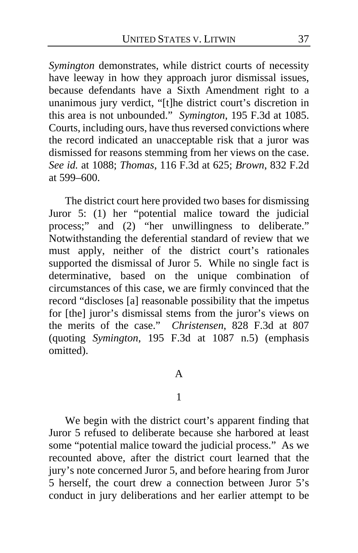*Symington* demonstrates, while district courts of necessity have leeway in how they approach juror dismissal issues, because defendants have a Sixth Amendment right to a unanimous jury verdict, "[t]he district court's discretion in this area is not unbounded." *Symington*, 195 F.3d at 1085. Courts, including ours, have thus reversed convictions where the record indicated an unacceptable risk that a juror was dismissed for reasons stemming from her views on the case. *See id.* at 1088; *Thomas*, 116 F.3d at 625; *Brown*, 832 F.2d at 599–600.

The district court here provided two bases for dismissing Juror 5: (1) her "potential malice toward the judicial process;" and (2) "her unwillingness to deliberate." Notwithstanding the deferential standard of review that we must apply, neither of the district court's rationales supported the dismissal of Juror 5. While no single fact is determinative, based on the unique combination of circumstances of this case, we are firmly convinced that the record "discloses [a] reasonable possibility that the impetus for [the] juror's dismissal stems from the juror's views on the merits of the case." *Christensen*, 828 F.3d at 807 (quoting *Symington*, 195 F.3d at 1087 n.5) (emphasis omitted).

A

### 1

We begin with the district court's apparent finding that Juror 5 refused to deliberate because she harbored at least some "potential malice toward the judicial process." As we recounted above, after the district court learned that the jury's note concerned Juror 5, and before hearing from Juror 5 herself, the court drew a connection between Juror 5's conduct in jury deliberations and her earlier attempt to be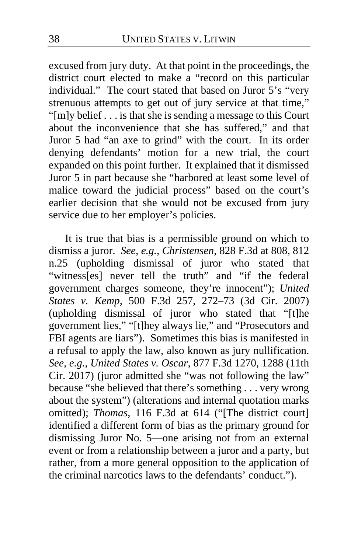excused from jury duty. At that point in the proceedings, the district court elected to make a "record on this particular individual." The court stated that based on Juror 5's "very strenuous attempts to get out of jury service at that time," "[m]y belief . . . is that she is sending a message to this Court about the inconvenience that she has suffered," and that Juror 5 had "an axe to grind" with the court. In its order denying defendants' motion for a new trial, the court expanded on this point further. It explained that it dismissed Juror 5 in part because she "harbored at least some level of malice toward the judicial process" based on the court's earlier decision that she would not be excused from jury service due to her employer's policies.

It is true that bias is a permissible ground on which to dismiss a juror. *See, e.g.*, *Christensen*, 828 F.3d at 808, 812 n.25 (upholding dismissal of juror who stated that "witness[es] never tell the truth" and "if the federal government charges someone, they're innocent"); *United States v. Kemp*, 500 F.3d 257, 272–73 (3d Cir. 2007) (upholding dismissal of juror who stated that "[t]he government lies," "[t]hey always lie," and "Prosecutors and FBI agents are liars"). Sometimes this bias is manifested in a refusal to apply the law, also known as jury nullification. *See, e.g.*, *United States v. Oscar*, 877 F.3d 1270, 1288 (11th Cir. 2017) (juror admitted she "was not following the law" because "she believed that there's something . . . very wrong about the system") (alterations and internal quotation marks omitted); *Thomas*, 116 F.3d at 614 ("[The district court] identified a different form of bias as the primary ground for dismissing Juror No. 5—one arising not from an external event or from a relationship between a juror and a party, but rather, from a more general opposition to the application of the criminal narcotics laws to the defendants' conduct.").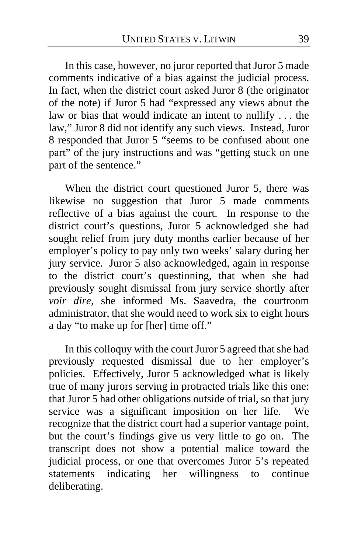In this case, however, no juror reported that Juror 5 made comments indicative of a bias against the judicial process. In fact, when the district court asked Juror 8 (the originator of the note) if Juror 5 had "expressed any views about the law or bias that would indicate an intent to nullify . . . the law," Juror 8 did not identify any such views. Instead, Juror 8 responded that Juror 5 "seems to be confused about one part" of the jury instructions and was "getting stuck on one part of the sentence."

When the district court questioned Juror 5, there was likewise no suggestion that Juror 5 made comments reflective of a bias against the court. In response to the district court's questions, Juror 5 acknowledged she had sought relief from jury duty months earlier because of her employer's policy to pay only two weeks' salary during her jury service. Juror 5 also acknowledged, again in response to the district court's questioning, that when she had previously sought dismissal from jury service shortly after *voir dire*, she informed Ms. Saavedra, the courtroom administrator, that she would need to work six to eight hours a day "to make up for [her] time off."

In this colloquy with the court Juror 5 agreed that she had previously requested dismissal due to her employer's policies. Effectively, Juror 5 acknowledged what is likely true of many jurors serving in protracted trials like this one: that Juror 5 had other obligations outside of trial, so that jury service was a significant imposition on her life. We recognize that the district court had a superior vantage point, but the court's findings give us very little to go on. The transcript does not show a potential malice toward the judicial process, or one that overcomes Juror 5's repeated statements indicating her willingness to continue deliberating.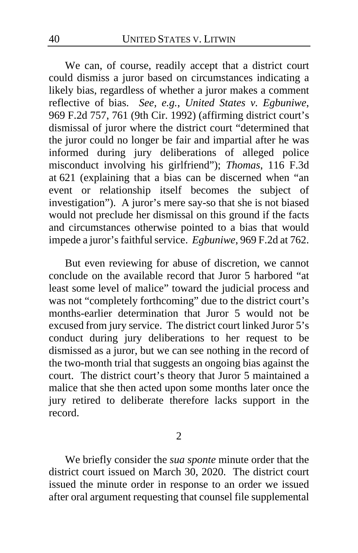We can, of course, readily accept that a district court could dismiss a juror based on circumstances indicating a likely bias, regardless of whether a juror makes a comment reflective of bias. *See, e.g.*, *United States v. Egbuniwe*, 969 F.2d 757, 761 (9th Cir. 1992) (affirming district court's dismissal of juror where the district court "determined that the juror could no longer be fair and impartial after he was informed during jury deliberations of alleged police misconduct involving his girlfriend"); *Thomas*, 116 F.3d at 621 (explaining that a bias can be discerned when "an event or relationship itself becomes the subject of investigation"). A juror's mere say-so that she is not biased would not preclude her dismissal on this ground if the facts and circumstances otherwise pointed to a bias that would impede a juror's faithful service. *Egbuniwe*, 969 F.2d at 762.

But even reviewing for abuse of discretion, we cannot conclude on the available record that Juror 5 harbored "at least some level of malice" toward the judicial process and was not "completely forthcoming" due to the district court's months-earlier determination that Juror 5 would not be excused from jury service. The district court linked Juror 5's conduct during jury deliberations to her request to be dismissed as a juror, but we can see nothing in the record of the two-month trial that suggests an ongoing bias against the court. The district court's theory that Juror 5 maintained a malice that she then acted upon some months later once the jury retired to deliberate therefore lacks support in the record.

2

We briefly consider the *sua sponte* minute order that the district court issued on March 30, 2020. The district court issued the minute order in response to an order we issued after oral argument requesting that counsel file supplemental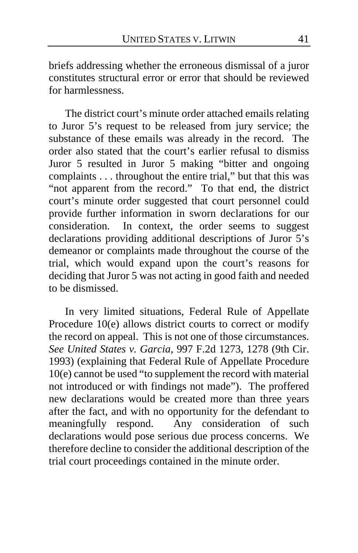briefs addressing whether the erroneous dismissal of a juror constitutes structural error or error that should be reviewed for harmlessness.

The district court's minute order attached emails relating to Juror 5's request to be released from jury service; the substance of these emails was already in the record. The order also stated that the court's earlier refusal to dismiss Juror 5 resulted in Juror 5 making "bitter and ongoing complaints . . . throughout the entire trial," but that this was "not apparent from the record." To that end, the district court's minute order suggested that court personnel could provide further information in sworn declarations for our consideration. In context, the order seems to suggest declarations providing additional descriptions of Juror 5's demeanor or complaints made throughout the course of the trial, which would expand upon the court's reasons for deciding that Juror 5 was not acting in good faith and needed to be dismissed.

In very limited situations, Federal Rule of Appellate Procedure 10(e) allows district courts to correct or modify the record on appeal. This is not one of those circumstances. *See United States v. Garcia*, 997 F.2d 1273, 1278 (9th Cir. 1993) (explaining that Federal Rule of Appellate Procedure 10(e) cannot be used "to supplement the record with material not introduced or with findings not made"). The proffered new declarations would be created more than three years after the fact, and with no opportunity for the defendant to meaningfully respond. Any consideration of such declarations would pose serious due process concerns. We therefore decline to consider the additional description of the trial court proceedings contained in the minute order.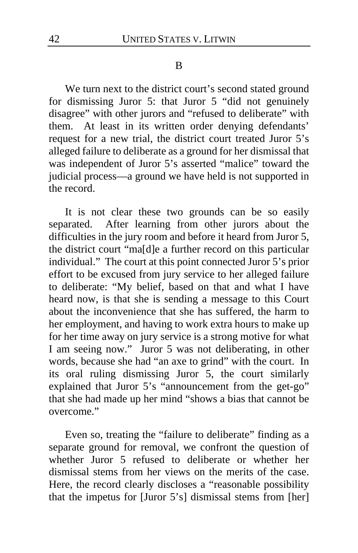#### B

We turn next to the district court's second stated ground for dismissing Juror 5: that Juror 5 "did not genuinely disagree" with other jurors and "refused to deliberate" with them. At least in its written order denying defendants' request for a new trial, the district court treated Juror 5's alleged failure to deliberate as a ground for her dismissal that was independent of Juror 5's asserted "malice" toward the judicial process—a ground we have held is not supported in the record.

It is not clear these two grounds can be so easily separated. After learning from other jurors about the difficulties in the jury room and before it heard from Juror 5, the district court "ma[d]e a further record on this particular individual." The court at this point connected Juror 5's prior effort to be excused from jury service to her alleged failure to deliberate: "My belief, based on that and what I have heard now, is that she is sending a message to this Court about the inconvenience that she has suffered, the harm to her employment, and having to work extra hours to make up for her time away on jury service is a strong motive for what I am seeing now." Juror 5 was not deliberating, in other words, because she had "an axe to grind" with the court. In its oral ruling dismissing Juror 5, the court similarly explained that Juror 5's "announcement from the get-go" that she had made up her mind "shows a bias that cannot be overcome."

Even so, treating the "failure to deliberate" finding as a separate ground for removal, we confront the question of whether Juror 5 refused to deliberate or whether her dismissal stems from her views on the merits of the case. Here, the record clearly discloses a "reasonable possibility that the impetus for [Juror 5's] dismissal stems from [her]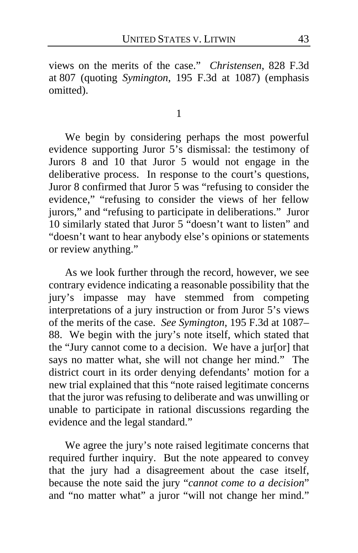views on the merits of the case." *Christensen*, 828 F.3d at 807 (quoting *Symington*, 195 F.3d at 1087) (emphasis omitted).

1

We begin by considering perhaps the most powerful evidence supporting Juror 5's dismissal: the testimony of Jurors 8 and 10 that Juror 5 would not engage in the deliberative process. In response to the court's questions, Juror 8 confirmed that Juror 5 was "refusing to consider the evidence," "refusing to consider the views of her fellow jurors," and "refusing to participate in deliberations." Juror 10 similarly stated that Juror 5 "doesn't want to listen" and "doesn't want to hear anybody else's opinions or statements or review anything."

As we look further through the record, however, we see contrary evidence indicating a reasonable possibility that the jury's impasse may have stemmed from competing interpretations of a jury instruction or from Juror 5's views of the merits of the case. *See Symington*, 195 F.3d at 1087– 88. We begin with the jury's note itself, which stated that the "Jury cannot come to a decision. We have a jur[or] that says no matter what, she will not change her mind." The district court in its order denying defendants' motion for a new trial explained that this "note raised legitimate concerns that the juror was refusing to deliberate and was unwilling or unable to participate in rational discussions regarding the evidence and the legal standard."

We agree the jury's note raised legitimate concerns that required further inquiry. But the note appeared to convey that the jury had a disagreement about the case itself, because the note said the jury "*cannot come to a decision*" and "no matter what" a juror "will not change her mind."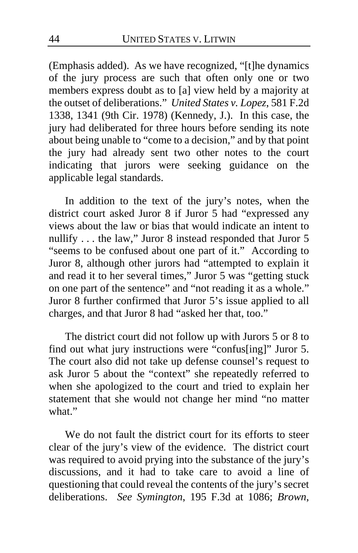(Emphasis added). As we have recognized, "[t]he dynamics of the jury process are such that often only one or two members express doubt as to [a] view held by a majority at the outset of deliberations." *United States v. Lopez*, 581 F.2d 1338, 1341 (9th Cir. 1978) (Kennedy, J.). In this case, the jury had deliberated for three hours before sending its note about being unable to "come to a decision," and by that point the jury had already sent two other notes to the court indicating that jurors were seeking guidance on the applicable legal standards.

In addition to the text of the jury's notes, when the district court asked Juror 8 if Juror 5 had "expressed any views about the law or bias that would indicate an intent to nullify . . . the law," Juror 8 instead responded that Juror 5 "seems to be confused about one part of it." According to Juror 8, although other jurors had "attempted to explain it and read it to her several times," Juror 5 was "getting stuck on one part of the sentence" and "not reading it as a whole." Juror 8 further confirmed that Juror 5's issue applied to all charges, and that Juror 8 had "asked her that, too."

The district court did not follow up with Jurors 5 or 8 to find out what jury instructions were "confus[ing]" Juror 5. The court also did not take up defense counsel's request to ask Juror 5 about the "context" she repeatedly referred to when she apologized to the court and tried to explain her statement that she would not change her mind "no matter what"

We do not fault the district court for its efforts to steer clear of the jury's view of the evidence. The district court was required to avoid prying into the substance of the jury's discussions, and it had to take care to avoid a line of questioning that could reveal the contents of the jury's secret deliberations. *See Symington*, 195 F.3d at 1086; *Brown*,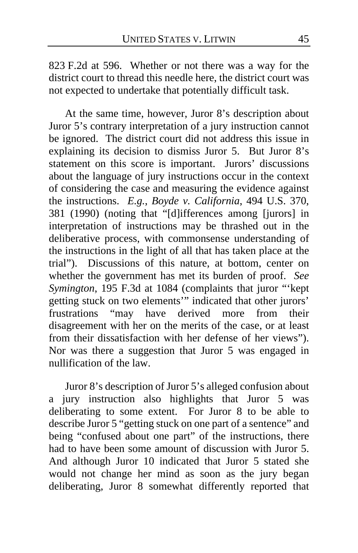823 F.2d at 596. Whether or not there was a way for the district court to thread this needle here, the district court was not expected to undertake that potentially difficult task.

At the same time, however, Juror 8's description about Juror 5's contrary interpretation of a jury instruction cannot be ignored. The district court did not address this issue in explaining its decision to dismiss Juror 5. But Juror 8's statement on this score is important. Jurors' discussions about the language of jury instructions occur in the context of considering the case and measuring the evidence against the instructions. *E.g.*, *Boyde v. California*, 494 U.S. 370, 381 (1990) (noting that "[d]ifferences among [jurors] in interpretation of instructions may be thrashed out in the deliberative process, with commonsense understanding of the instructions in the light of all that has taken place at the trial"). Discussions of this nature, at bottom, center on whether the government has met its burden of proof. *See Symington*, 195 F.3d at 1084 (complaints that juror "'kept getting stuck on two elements'" indicated that other jurors' frustrations "may have derived more from their disagreement with her on the merits of the case, or at least from their dissatisfaction with her defense of her views"). Nor was there a suggestion that Juror 5 was engaged in nullification of the law.

Juror 8's description of Juror 5's alleged confusion about a jury instruction also highlights that Juror 5 was deliberating to some extent. For Juror 8 to be able to describe Juror 5 "getting stuck on one part of a sentence" and being "confused about one part" of the instructions, there had to have been some amount of discussion with Juror 5. And although Juror 10 indicated that Juror 5 stated she would not change her mind as soon as the jury began deliberating, Juror 8 somewhat differently reported that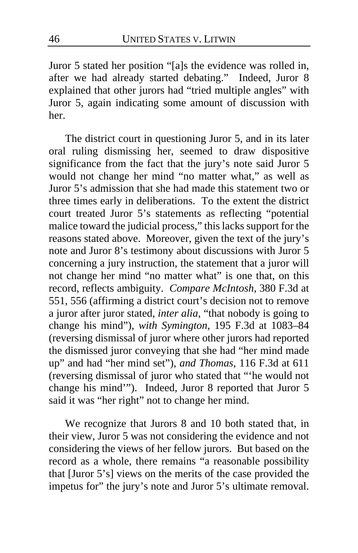Juror 5 stated her position "[a]s the evidence was rolled in, after we had already started debating." Indeed, Juror 8 explained that other jurors had "tried multiple angles" with Juror 5, again indicating some amount of discussion with her.

The district court in questioning Juror 5, and in its later oral ruling dismissing her, seemed to draw dispositive significance from the fact that the jury's note said Juror 5 would not change her mind "no matter what," as well as Juror 5's admission that she had made this statement two or three times early in deliberations. To the extent the district court treated Juror 5's statements as reflecting "potential malice toward the judicial process," this lacks support for the reasons stated above. Moreover, given the text of the jury's note and Juror 8's testimony about discussions with Juror 5 concerning a jury instruction, the statement that a juror will not change her mind "no matter what" is one that, on this record, reflects ambiguity. *Compare McIntosh*, 380 F.3d at 551, 556 (affirming a district court's decision not to remove a juror after juror stated, *inter alia*, "that nobody is going to change his mind"), *with Symington*, 195 F.3d at 1083–84 (reversing dismissal of juror where other jurors had reported the dismissed juror conveying that she had "her mind made up" and had "her mind set"), *and Thomas*, 116 F.3d at 611 (reversing dismissal of juror who stated that "'he would not change his mind'"). Indeed, Juror 8 reported that Juror 5 said it was "her right" not to change her mind.

We recognize that Jurors 8 and 10 both stated that, in their view, Juror 5 was not considering the evidence and not considering the views of her fellow jurors. But based on the record as a whole, there remains "a reasonable possibility that [Juror 5's] views on the merits of the case provided the impetus for" the jury's note and Juror 5's ultimate removal.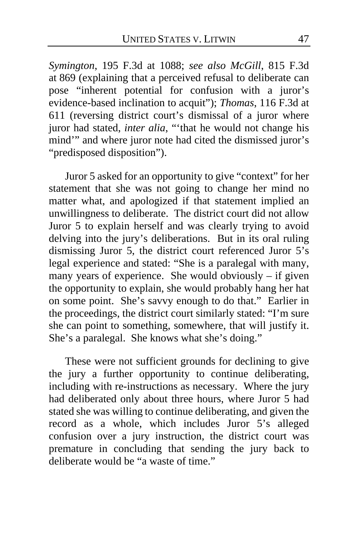*Symington*, 195 F.3d at 1088; *see also McGill*, 815 F.3d at 869 (explaining that a perceived refusal to deliberate can pose "inherent potential for confusion with a juror's evidence-based inclination to acquit"); *Thomas*, 116 F.3d at 611 (reversing district court's dismissal of a juror where juror had stated, *inter alia*, "'that he would not change his mind'" and where juror note had cited the dismissed juror's "predisposed disposition").

Juror 5 asked for an opportunity to give "context" for her statement that she was not going to change her mind no matter what, and apologized if that statement implied an unwillingness to deliberate. The district court did not allow Juror 5 to explain herself and was clearly trying to avoid delving into the jury's deliberations. But in its oral ruling dismissing Juror 5, the district court referenced Juror 5's legal experience and stated: "She is a paralegal with many, many years of experience. She would obviously – if given the opportunity to explain, she would probably hang her hat on some point. She's savvy enough to do that." Earlier in the proceedings, the district court similarly stated: "I'm sure she can point to something, somewhere, that will justify it. She's a paralegal. She knows what she's doing."

These were not sufficient grounds for declining to give the jury a further opportunity to continue deliberating, including with re-instructions as necessary. Where the jury had deliberated only about three hours, where Juror 5 had stated she was willing to continue deliberating, and given the record as a whole, which includes Juror 5's alleged confusion over a jury instruction, the district court was premature in concluding that sending the jury back to deliberate would be "a waste of time."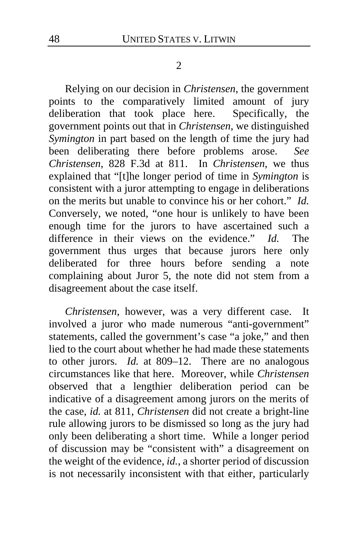#### 2

Relying on our decision in *Christensen*, the government points to the comparatively limited amount of jury deliberation that took place here. Specifically, the deliberation that took place here. government points out that in *Christensen*, we distinguished *Symington* in part based on the length of time the jury had been deliberating there before problems arose. *See Christensen*, 828 F.3d at 811. In *Christensen*, we thus explained that "[t]he longer period of time in *Symington* is consistent with a juror attempting to engage in deliberations on the merits but unable to convince his or her cohort." *Id.*  Conversely, we noted, "one hour is unlikely to have been enough time for the jurors to have ascertained such a difference in their views on the evidence." *Id.* The government thus urges that because jurors here only deliberated for three hours before sending a note complaining about Juror 5, the note did not stem from a disagreement about the case itself.

*Christensen*, however, was a very different case. It involved a juror who made numerous "anti-government" statements, called the government's case "a joke," and then lied to the court about whether he had made these statements to other jurors. *Id.* at 809–12. There are no analogous circumstances like that here. Moreover, while *Christensen*  observed that a lengthier deliberation period can be indicative of a disagreement among jurors on the merits of the case, *id.* at 811, *Christensen* did not create a bright-line rule allowing jurors to be dismissed so long as the jury had only been deliberating a short time. While a longer period of discussion may be "consistent with" a disagreement on the weight of the evidence, *id.*, a shorter period of discussion is not necessarily inconsistent with that either, particularly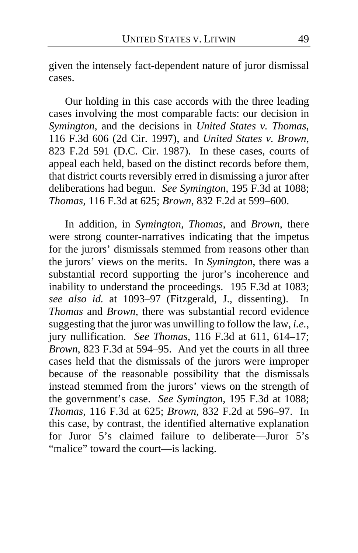given the intensely fact-dependent nature of juror dismissal cases.

Our holding in this case accords with the three leading cases involving the most comparable facts: our decision in *Symington*, and the decisions in *United States v. Thomas*, 116 F.3d 606 (2d Cir. 1997), and *United States v. Brown*, 823 F.2d 591 (D.C. Cir. 1987). In these cases, courts of appeal each held, based on the distinct records before them, that district courts reversibly erred in dismissing a juror after deliberations had begun. *See Symington*, 195 F.3d at 1088; *Thomas*, 116 F.3d at 625; *Brown*, 832 F.2d at 599–600.

In addition, in *Symington*, *Thomas*, and *Brown*, there were strong counter-narratives indicating that the impetus for the jurors' dismissals stemmed from reasons other than the jurors' views on the merits. In *Symington*, there was a substantial record supporting the juror's incoherence and inability to understand the proceedings. 195 F.3d at 1083; *see also id.* at 1093–97 (Fitzgerald, J., dissenting). In *Thomas* and *Brown*, there was substantial record evidence suggesting that the juror was unwilling to follow the law, *i.e.*, jury nullification. *See Thomas*, 116 F.3d at 611, 614–17; *Brown*, 823 F.3d at 594–95. And yet the courts in all three cases held that the dismissals of the jurors were improper because of the reasonable possibility that the dismissals instead stemmed from the jurors' views on the strength of the government's case. *See Symington*, 195 F.3d at 1088; *Thomas*, 116 F.3d at 625; *Brown*, 832 F.2d at 596–97. In this case, by contrast, the identified alternative explanation for Juror 5's claimed failure to deliberate—Juror 5's "malice" toward the court—is lacking.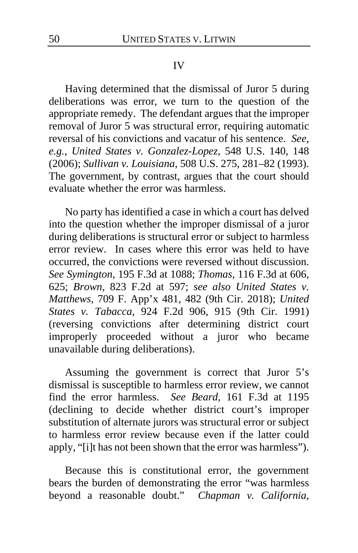#### IV

Having determined that the dismissal of Juror 5 during deliberations was error, we turn to the question of the appropriate remedy. The defendant argues that the improper removal of Juror 5 was structural error, requiring automatic reversal of his convictions and vacatur of his sentence. *See, e.g.*, *United States v. Gonzalez-Lopez*, 548 U.S. 140, 148 (2006); *Sullivan v. Louisiana*, 508 U.S. 275, 281–82 (1993). The government, by contrast, argues that the court should evaluate whether the error was harmless.

No party has identified a case in which a court has delved into the question whether the improper dismissal of a juror during deliberations is structural error or subject to harmless error review. In cases where this error was held to have occurred, the convictions were reversed without discussion. *See Symington*, 195 F.3d at 1088; *Thomas*, 116 F.3d at 606, 625; *Brown*, 823 F.2d at 597; *see also United States v. Matthews*, 709 F. App'x 481, 482 (9th Cir. 2018); *United States v. Tabacca*, 924 F.2d 906, 915 (9th Cir. 1991) (reversing convictions after determining district court improperly proceeded without a juror who became unavailable during deliberations).

Assuming the government is correct that Juror 5's dismissal is susceptible to harmless error review, we cannot find the error harmless. *See Beard*, 161 F.3d at 1195 (declining to decide whether district court's improper substitution of alternate jurors was structural error or subject to harmless error review because even if the latter could apply, "[i]t has not been shown that the error was harmless").

Because this is constitutional error, the government bears the burden of demonstrating the error "was harmless beyond a reasonable doubt." *Chapman v. California*,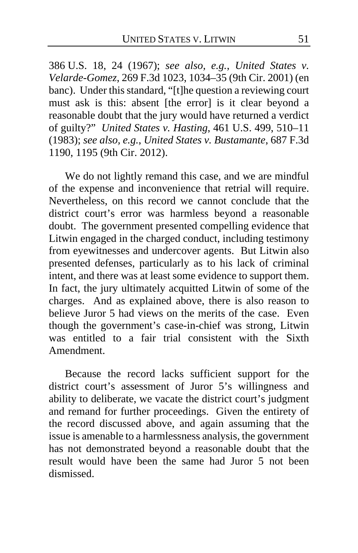386 U.S. 18, 24 (1967); *see also, e.g.*, *United States v. Velarde-Gomez*, 269 F.3d 1023, 1034–35 (9th Cir. 2001) (en banc). Under this standard, "[t]he question a reviewing court must ask is this: absent [the error] is it clear beyond a reasonable doubt that the jury would have returned a verdict of guilty?" *United States v. Hasting*, 461 U.S. 499, 510–11 (1983); *see also, e.g.*, *United States v. Bustamante*, 687 F.3d 1190, 1195 (9th Cir. 2012).

We do not lightly remand this case, and we are mindful of the expense and inconvenience that retrial will require. Nevertheless, on this record we cannot conclude that the district court's error was harmless beyond a reasonable doubt. The government presented compelling evidence that Litwin engaged in the charged conduct, including testimony from eyewitnesses and undercover agents. But Litwin also presented defenses, particularly as to his lack of criminal intent, and there was at least some evidence to support them. In fact, the jury ultimately acquitted Litwin of some of the charges. And as explained above, there is also reason to believe Juror 5 had views on the merits of the case. Even though the government's case-in-chief was strong, Litwin was entitled to a fair trial consistent with the Sixth Amendment.

Because the record lacks sufficient support for the district court's assessment of Juror 5's willingness and ability to deliberate, we vacate the district court's judgment and remand for further proceedings. Given the entirety of the record discussed above, and again assuming that the issue is amenable to a harmlessness analysis, the government has not demonstrated beyond a reasonable doubt that the result would have been the same had Juror 5 not been dismissed.